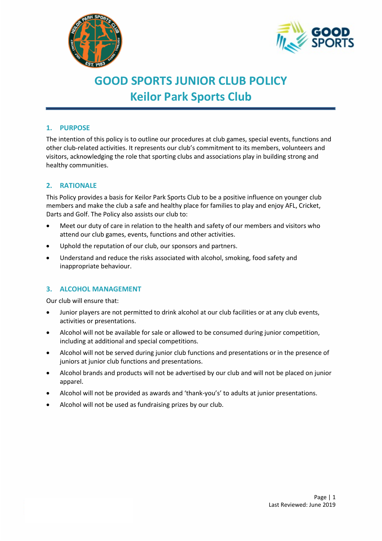



# **GOOD SPORTS JUNIOR CLUB POLICY Keilor Park Sports Club**

# **1. PURPOSE**

The intention of this policy is to outline our procedures at club games, special events, functions and other club-related activities. It represents our club's commitment to its members, volunteers and visitors, acknowledging the role that sporting clubs and associations play in building strong and healthy communities.

# **2. RATIONALE**

This Policy provides a basis for Keilor Park Sports Club to be a positive influence on younger club members and make the club a safe and healthy place for families to play and enjoy AFL, Cricket, Darts and Golf. The Policy also assists our club to:

- Meet our duty of care in relation to the health and safety of our members and visitors who attend our club games, events, functions and other activities.
- Uphold the reputation of our club, our sponsors and partners.
- Understand and reduce the risks associated with alcohol, smoking, food safety and inappropriate behaviour.

## **3. ALCOHOL MANAGEMENT**

Our club will ensure that:

- Junior players are not permitted to drink alcohol at our club facilities or at any club events, activities or presentations.
- Alcohol will not be available for sale or allowed to be consumed during junior competition, including at additional and special competitions.
- Alcohol will not be served during junior club functions and presentations or in the presence of juniors at junior club functions and presentations.
- Alcohol brands and products will not be advertised by our club and will not be placed on junior apparel.
- Alcohol will not be provided as awards and 'thank-you's' to adults at junior presentations.
- Alcohol will not be used as fundraising prizes by our club.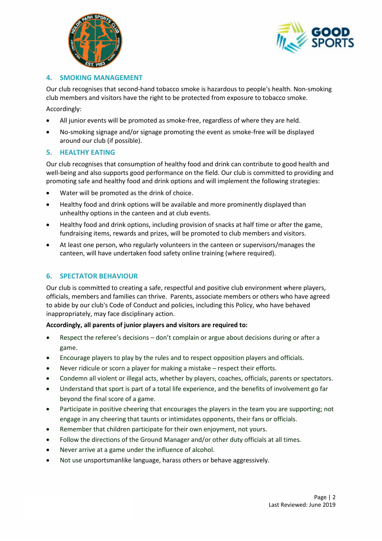



## **4. SMOKING MANAGEMENT**

Our club recognises that second-hand tobacco smoke is hazardous to people's health. Non-smoking club members and visitors have the right to be protected from exposure to tobacco smoke.

Accordingly:

- All junior events will be promoted as smoke-free, regardless of where they are held.
- No-smoking signage and/or signage promoting the event as smoke-free will be displayed around our club (if possible).

#### **5. HEALTHY EATING**

Our club recognises that consumption of healthy food and drink can contribute to good health and well-being and also supports good performance on the field. Our club is committed to providing and promoting safe and healthy food and drink options and will implement the following strategies:

- Water will be promoted as the drink of choice.
- Healthy food and drink options will be available and more prominently displayed than unhealthy options in the canteen and at club events.
- Healthy food and drink options, including provision of snacks at half time or after the game, fundraising items, rewards and prizes, will be promoted to club members and visitors.
- At least one person, who regularly volunteers in the canteen or supervisors/manages the canteen, will have undertaken food safety online training (where required).

## **6. SPECTATOR BEHAVIOUR**

Our club is committed to creating a safe, respectful and positive club environment where players, officials, members and families can thrive. Parents, associate members or others who have agreed to abide by our club's Code of Conduct and policies, including this Policy, who have behaved inappropriately, may face disciplinary action.

#### **Accordingly, all parents of junior players and visitors are required to:**

- Respect the referee's decisions don't complain or argue about decisions during or after a game.
- Encourage players to play by the rules and to respect opposition players and officials.
- Never ridicule or scorn a player for making a mistake respect their efforts.
- Condemn all violent or illegal acts, whether by players, coaches, officials, parents or spectators.
- Understand that sport is part of a total life experience, and the benefits of involvement go far beyond the final score of a game.
- Participate in positive cheering that encourages the players in the team you are supporting; not engage in any cheering that taunts or intimidates opponents, their fans or officials.
- Remember that children participate for their own enjoyment, not yours.
- Follow the directions of the Ground Manager and/or other duty officials at all times.
- Never arrive at a game under the influence of alcohol.
- Not use unsportsmanlike language, harass others or behave aggressively.